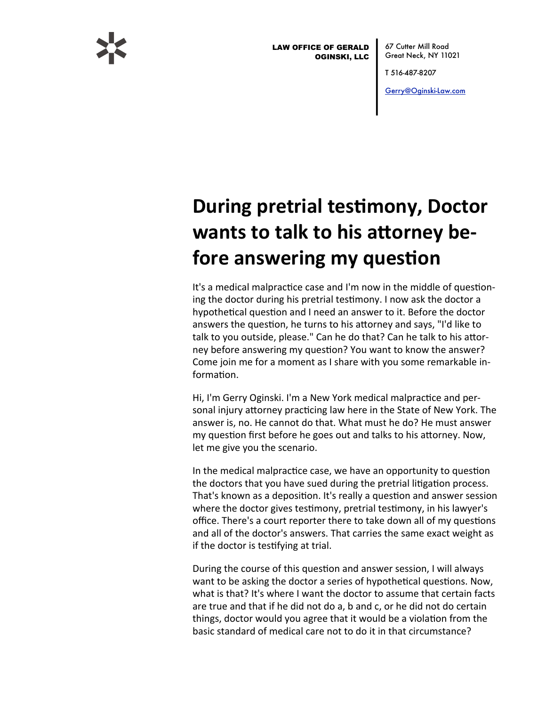

**LAW OFFICE OF GERALD OGINSKI, LLC** 

67 Cutter Mill Road Great Neck, NY 11021

T 516 487-8207

Gerry@Oginski-Law.com

## **During pretrial testimony, Doctor** wants to talk to his attorney before answering my question

It's a medical malpractice case and I'm now in the middle of questioning the doctor during his pretrial testimony. I now ask the doctor a hypothetical question and I need an answer to it. Before the doctor answers the question, he turns to his attorney and says, "I'd like to talk to you outside, please." Can he do that? Can he talk to his attorney before answering my question? You want to know the answer? Come join me for a moment as I share with you some remarkable information.

Hi, I'm Gerry Oginski. I'm a New York medical malpractice and personal injury attorney practicing law here in the State of New York. The answer is, no. He cannot do that. What must he do? He must answer my question first before he goes out and talks to his attorney. Now, let me give you the scenario.

In the medical malpractice case, we have an opportunity to question the doctors that you have sued during the pretrial litigation process. That's known as a deposition. It's really a question and answer session where the doctor gives testimony, pretrial testimony, in his lawyer's office. There's a court reporter there to take down all of my questions and all of the doctor's answers. That carries the same exact weight as if the doctor is testifying at trial.

During the course of this question and answer session, I will always want to be asking the doctor a series of hypothetical questions. Now, what is that? It's where I want the doctor to assume that certain facts are true and that if he did not do a, b and c, or he did not do certain things, doctor would you agree that it would be a violation from the hasic standard of medical care not to do it in that circumstance?